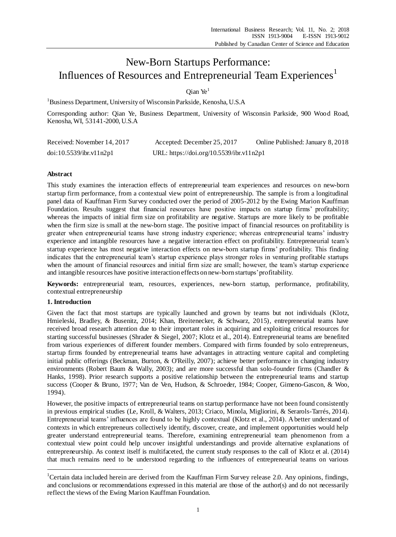# New-Born Startups Performance: Influences of Resources and Entrepreneurial Team Experiences<sup>1</sup>

 $Oian$  Ye<sup>1</sup>

<sup>1</sup>Business Department, University of Wisconsin Parkside, Kenosha, U.S.A

Corresponding author: Qian Ye, Business Department, University of Wisconsin Parkside, 900 Wood Road, Kenosha, WI, 53141-2000, U.S.A

| Received: November 14, 2017 | Accepted: December 25, 2017              | Online Published: January 8, 2018 |
|-----------------------------|------------------------------------------|-----------------------------------|
| doi:10.5539/ibr.v11n2p1     | URL: https://doi.org/10.5539/ibr.v11n2p1 |                                   |

## **Abstract**

This study examines the interaction effects of entrepreneurial team experiences and resources on new-born startup firm performance, from a contextual view point of entrepreneurship. The sample is from a longitudinal panel data of Kauffman Firm Survey conducted over the period of 2005-2012 by the Ewing Marion Kauffman Foundation. Results suggest that financial resources have positive impacts on startup firms' profitability; whereas the impacts of initial firm size on profitability are negative. Startups are more likely to be profitable when the firm size is small at the new-born stage. The positive impact of financial resources on profitability is greater when entrepreneurial teams have strong industry experience; whereas entrepreneurial teams' industry experience and intangible resources have a negative interaction effect on profitability. Entrepreneurial team's startup experience has most negative interaction effects on new-born startup firms' profitability. This finding indicates that the entrepreneurial team's startup experience plays stronger roles in venturing profitable startups when the amount of financial resources and initial firm size are small; however, the team's startup experience and intangible resources have positive interaction effects on new-born startups' profitability.

**Keywords:** entrepreneurial team, resources, experiences, new-born startup, performance, profitability, contextual entrepreneurship

## **1. Introduction**

1

Given the fact that most startups are typically launched and grown by teams but not individuals (Klotz, Hmieleski, Bradley, & Busenitz, 2014; Khan, Breitenecker, & Schwarz, 2015), entrepreneurial teams have received broad research attention due to their important roles in acquiring and exploiting critical resources for starting successful businesses (Shrader & Siegel, 2007; Klotz et al., 2014). Entrepreneurial teams are benefited from various experiences of different founder members. Compared with firms founded by solo entrepreneurs, startup firms founded by entrepreneurial teams have advantages in attracting venture capital and completing initial public offerings (Beckman, Burton, & O'Reilly, 2007); achieve better performance in changing industry environments (Robert Baum & Wally, 2003); and are more successful than solo-founder firms (Chandler & Hanks, 1998). Prior research supports a positive relationship between the entrepreneurial teams and startup success (Cooper & Bruno, 1977; Van de Ven, Hudson, & Schroeder, 1984; Cooper, Gimeno-Gascon, & Woo, 1994).

However, the positive impacts of entrepreneurial teams on startup performance have not been found consistently in previous empirical studies (Le, Kroll, & Walters, 2013; Criaco, Minola, Migliorini, & Serarols-Tarrés, 2014). Entrepreneurial teams' influences are found to be highly contextual (Klotz et al., 2014). A better understand of contexts in which entrepreneurs collectively identify, discover, create, and implement opportunities would help greater understand entrepreneurial teams. Therefore, examining entrepreneurial team phenomenon from a contextual view point could help uncover insightful understandings and provide alternative explanations of entrepreneurship. As context itself is multifaceted, the current study responses to the call of Klotz et al. (2014) that much remains need to be understood regarding to the influences of entrepreneurial teams on various

<sup>&</sup>lt;sup>1</sup>Certain data included herein are derived from the Kauffman Firm Survey release 2.0. Any opinions, findings, and conclusions or recommendations expressed in this material are those of the author(s) and do not necessarily reflect the views of the Ewing Marion Kauffman Foundation.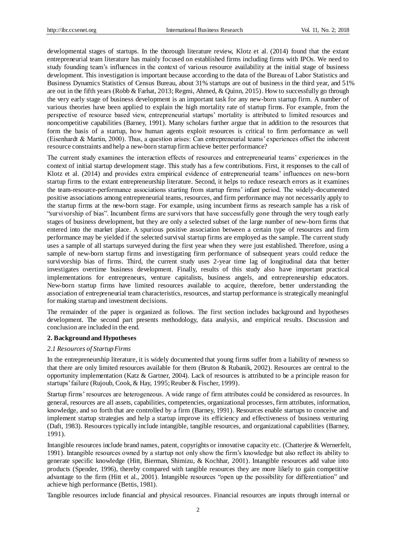developmental stages of startups. In the thorough literature review, Klotz et al. (2014) found that the extant entrepreneurial team literature has mainly focused on established firms including firms with IPOs. We need to study founding team's influences in the context of various resource availability at the initial stage of business development. This investigation is important because according to the data of the Bureau of Labor Statistics and Business Dynamics Statistics of Census Bureau, about 31% startups are out of business in the third year, and 51% are out in the fifth years (Robb & Farhat, 2013; Regmi, Ahmed, & Quinn, 2015). How to successfully go through the very early stage of business development is an important task for any new-born startup firm. A number of various theories have been applied to explain the high mortality rate of startup firms. For example, from the perspective of resource based view, entrepreneurial startups' mortality is attributed to limited resources and noncompetitive capabilities (Barney, 1991). Many scholars further argue that in addition to the resources that form the basis of a startup, how human agents exploit resources is critical to firm performance as well (Eisenhardt & Martin, 2000). Thus, a question arises: Can entrepreneurial teams' experiences offset the inherent resource constraints and help a new-born startup firm achieve better performance?

The current study examines the interaction effects of resources and entrepreneurial teams' experiences in the context of initial startup development stage. This study has a few contributions. First, it responses to the call of Klotz et al. (2014) and provides extra empirical evidence of entrepreneurial teams' influences on new-born startup firms to the extant entrepreneurship literature. Second, it helps to reduce research errors as it examines the team-resource-performance associations starting from startup firms' infant period. The widely-documented positive associations among entrepreneurial teams, resources, and firm performance may not necessarily apply to the startup firms at the new-born stage. For example, using incumbent firms as research sample has a risk of "survivorship of bias". Incumbent firms are survivors that have successfully gone through the very tough early stages of business development, but they are only a selected subset of the large number of new-born firms that entered into the market place. A spurious positive association between a certain type of resources and firm performance may be yielded if the selected survival startup firms are employed as the sample. The current study uses a sample of all startups surveyed during the first year when they were just established. Therefore, using a sample of new-born startup firms and investigating firm performance of subsequent years could reduce the survivorship bias of firms. Third, the current study uses 2-year time lag of longitudinal data that better investigates overtime business development. Finally, results of this study also have important practical implementations for entrepreneurs, venture capitalists, business angels, and entrepreneurship educators. New-born startup firms have limited resources available to acquire, therefore, better understanding the association of entrepreneurial team characteristics, resources, and startup performance is strategically meaningful for making startup and investment decisions.

The remainder of the paper is organized as follows. The first section includes background and hypotheses development. The second part presents methodology, data analysis, and empirical results. Discussion and conclusion are included in the end.

## **2. Background and Hypotheses**

#### *2.1 Resources of Startup Firms*

In the entrepreneurship literature, it is widely documented that young firms suffer from a liability of newness so that there are only limited resources available for them (Bruton & Rubanik, 2002). Resources are central to the opportunity implementation (Katz & Gartner, 2004). Lack of resources is attributed to be a principle reason for startups' failure (Rujoub, Cook, & Hay, 1995; Reuber & Fischer, 1999).

Startup firms' resources are heterogeneous. A wide range of firm attributes could be considered as resources. In general, resources are all assets, capabilities, competencies, organizational processes, firm attributes, information, knowledge, and so forth that are controlled by a firm (Barney, 1991). Resources enable startups to conceive and implement startup strategies and help a startup improve its efficiency and effectiveness of business venturing (Daft, 1983). Resources typically include intangible, tangible resources, and organizational capabilities (Barney, 1991).

Intangible resources include brand names, patent, copyrights or innovative capacity etc. (Chatterjee & Wernerfelt, 1991). Intangible resources owned by a startup not only show the firm's knowledge but also reflect its ability to generate specific knowledge (Hitt, Bierman, Shimizu, & Kochhar, 2001). Intangible resources add value into products (Spender, 1996), thereby compared with tangible resources they are more likely to gain competitive advantage to the firm (Hitt et al., 2001). Intangible resources "open up the possibility for differentiation" and achieve high performance (Bettis, 1981).

Tangible resources include financial and physical resources. Financial resources are inputs through internal or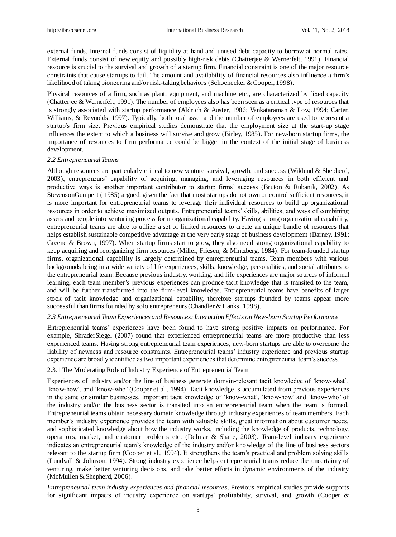external funds. Internal funds consist of liquidity at hand and unused debt capacity to borrow at normal rates. External funds consist of new equity and possibly high-risk debts (Chatterjee & Wernerfelt, 1991). Financial resource is crucial to the survival and growth of a startup firm. Financial constraint is one of the major resource constraints that cause startups to fail. The amount and availability of financial resources also influence a firm's likelihood of taking pioneering and/or risk-taking behaviors (Schoenecker & Cooper, 1998).

Physical resources of a firm, such as plant, equipment, and machine etc., are characterized by fixed capacity (Chatterjee & Wernerfelt, 1991). The number of employees also has been seen as a critical type of resources that is strongly associated with startup performance (Aldrich & Auster, 1986; Venkataraman & Low, 1994; Carter, Williams, & Reynolds, 1997). Typically, both total asset and the number of employees are used to represent a startup's firm size. Previous empirical studies demonstrate that the employment size at the start-up stage influences the extent to which a business will survive and grow (Birley, 1985). For new-born startup firms, the importance of resources to firm performance could be bigger in the context of the initial stage of business development.

#### *2.2 Entrepreneurial Teams*

Although resources are particularly critical to new venture survival, growth, and success (Wiklund & Shepherd, 2003), entrepreneurs' capability of acquiring, managing, and leveraging resources in both efficient and productive ways is another important contributor to startup firms' success (Bruton & Rubanik, 2002). As StevensonGumpert ( 1985) argued, given the fact that most startups do not own or control sufficient resources, it is more important for entrepreneurial teams to leverage their individual resources to build up organizational resources in order to achieve maximized outputs. Entrepreneurial teams' skills, abilities, and ways of combining assets and people into venturing process form organizational capability. Having strong organizational capability, entrepreneurial teams are able to utilize a set of limited resources to create an unique bundle of resources that helps establish sustainable competitive advantage at the very early stage of business development (Barney, 1991; Greene & Brown, 1997). When startup firms start to grow, they also need strong organizational capability to keep acquiring and reorganizing firm resources (Miller, Friesen, & Mintzberg, 1984). For team-founded startup firms, organizational capability is largely determined by entrepreneurial teams. Team members with various backgrounds bring in a wide variety of life experiences, skills, knowledge, personalities, and social attributes to the entrepreneurial team. Because previous industry, working, and life experiences are major sources of informal learning, each team member's previous experiences can produce tacit knowledge that is transited to the team, and will be further transformed into the firm-level knowledge. Entrepreneurial teams have benefits of larger stock of tacit knowledge and organizational capability, therefore startups founded by teams appear more successful than firms founded by solo entrepreneurs (Chandler & Hanks, 1998).

## *2.3 Entrepreneurial Team Experiences and Resources: Interaction Effects on New-born Startup Performance*

Entrepreneurial teams' experiences have been found to have strong positive impacts on performance. For example, ShraderSiegel (2007) found that experienced entrepreneurial teams are more productive than less experienced teams. Having strong entrepreneurial team experiences, new-born startups are able to overcome the liability of newness and resource constraints. Entrepreneurial teams' industry experience and previous startup experience are broadly identified as two important experiences that determine entrepreneurial team's success.

#### 2.3.1 The Moderating Role of Industry Experience of Entrepreneurial Team

Experiences of industry and/or the line of business generate domain-relevant tacit knowledge of 'know-what', 'know-how', and 'know-who' (Cooper et al., 1994). Tacit knowledge is accumulated from previous experiences in the same or similar businesses. Important tacit knowledge of 'know-what', 'know-how' and 'know-who' of the industry and/or the business sector is transited into an entrepreneurial team when the team is formed. Entrepreneurial teams obtain necessary domain knowledge through industry experiences of team members. Each member's industry experience provides the team with valuable skills, great information about customer needs, and sophisticated knowledge about how the industry works, including the knowledge of products, technology, operations, market, and customer problems etc. (Delmar & Shane, 2003). Team-level industry experience indicates an entrepreneurial team's knowledge of the industry and/or knowledge of the line of business sectors relevant to the startup firm (Cooper et al., 1994). It strengthens the team's practical and problem solving skills (Lundvall & Johnson, 1994). Strong industry experience helps entrepreneurial teams reduce the uncertainty of venturing, make better venturing decisions, and take better efforts in dynamic environments of the industry (McMullen & Shepherd, 2006).

*Entrepreneurial team industry experiences and financial resources*. Previous empirical studies provide supports for significant impacts of industry experience on startups' profitability, survival, and growth (Cooper &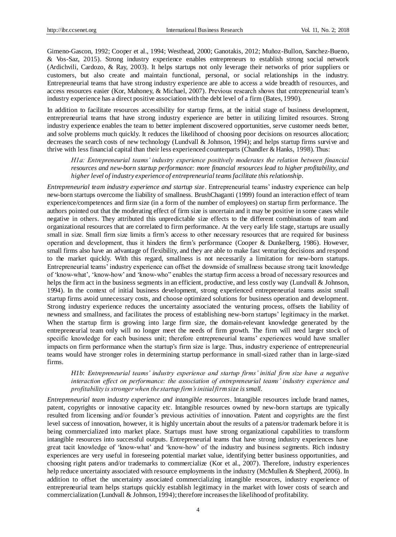Gimeno-Gascon, 1992; Cooper et al., 1994; Westhead, 2000; Ganotakis, 2012; Muñoz-Bullon, Sanchez-Bueno, & Vos-Saz, 2015). Strong industry experience enables entrepreneurs to establish strong social network (Ardichvili, Cardozo, & Ray, 2003). It helps startups not only leverage their networks of prior suppliers or customers, but also create and maintain functional, personal, or social relationships in the industry. Entrepreneurial teams that have strong industry experience are able to access a wide breadth of resources, and access resources easier (Kor, Mahoney, & Michael, 2007). Previous research shows that entrepreneurial team's industry experience has a direct positive association with the debt level of a firm (Bates, 1990).

In addition to facilitate resources accessibility for startup firms, at the initial stage of business development, entrepreneurial teams that have strong industry experience are better in utilizing limited resources. Strong industry experience enables the team to better implement discovered opportunities, serve customer needs better, and solve problems much quickly. It reduces the likelihood of choosing poor decisions on resources allocation; decreases the search costs of new technology (Lundvall & Johnson, 1994); and helps startup firms survive and thrive with less financial capital than their less experienced counterparts (Chandler & Hanks, 1998). Thus:

*H1a: Entrepreneurial teams' industry experience positively moderates the relation between financial resources and new-born startup performance: more financial resources lead to higher profitability, and higher level of industry experience of entrepreneurial teams facilitate this relationship.* 

*Entrepreneurial team industry experience and startup size*. Entrepreneurial teams' industry experience can help new-born startups overcome the liability of smallness. BrushChaganti (1999) found an interaction effect of team experience/competences and firm size (in a form of the number of employees) on startup firm performance. The authors pointed out that the moderating effect of firm size is uncertain and it may be positive in some cases while negative in others. They attributed this unpredictable size effects to the different combinations of team and organizational resources that are correlated to firm performance. At the very early life stage, startups are usually small in size. Small firm size limits a firm's access to other necessary resources that are required for business operation and development, thus it hinders the firm's performance (Cooper & Dunkelberg, 1986). However, small firms also have an advantage of flexibility, and they are able to make fast venturing decisions and respond to the market quickly. With this regard, smallness is not necessarily a limitation for new-born startups. Entrepreneurial teams' industry experience can offset the downside of smallness because strong tacit knowledge of 'know-what', 'know-how' and 'know-who" enables the startup firm access a broad of necessary resources and helps the firm act in the business segments in an efficient, productive, and less costly way (Lundvall & Johnson, 1994). In the context of initial business development, strong experienced entrepreneurial teams assist small startup firms avoid unnecessary costs, and choose optimized solutions for business operation and development. Strong industry experience reduces the uncertainty associated the venturing process, offsets the liability of newness and smallness, and facilitates the process of establishing new-born startups' legitimacy in the market. When the startup firm is growing into large firm size, the domain-relevant knowledge generated by the entrepreneurial team only will no longer meet the needs of firm growth. The firm will need larger stock of specific knowledge for each business unit; therefore entrepreneurial teams' experiences would have smaller impacts on firm performance when the startup's firm size is large. Thus, industry experience of entrepreneurial teams would have stronger roles in determining startup performance in small-sized rather than in large-sized firms.

*H1b: Entrepreneurial teams' industry experience and startup firms' initial firm size have a negative interaction effect on performance: the association of entrepreneurial teams' industry experience and profitability is stronger when the startup firm's initial firm size is small.*

*Entrepreneurial team industry experience and intangible resources*. Intangible resources include brand names, patent, copyrights or innovative capacity etc. Intangible resources owned by new-born startups are typically resulted from licensing and/or founder's previous activities of innovation. Patent and copyrights are the first level success of innovation, however, it is highly uncertain about the results of a patens/or trademark before it is being commercialized into market place. Startups must have strong organizational capabilities to transform intangible resources into successful outputs. Entrepreneurial teams that have strong industry experiences have great tacit knowledge of 'know-what' and 'know-how' of the industry and business segments. Rich industry experiences are very useful in foreseeing potential market value, identifying better business opportunities, and choosing right patens and/or trademarks to commercialize (Kor et al., 2007). Therefore, industry experiences help reduce uncertainty associated with resource employments in the industry (McMullen & Shepherd, 2006). In addition to offset the uncertainty associated commercializing intangible resources, industry experience of entrepreneurial team helps startups quickly establish legitimacy in the market with lower costs of search and commercialization (Lundvall & Johnson, 1994); therefore increases the likelihood of profitability.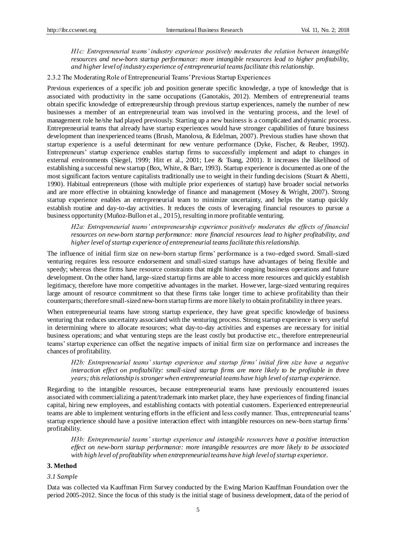*H1c: Entrepreneurial teams' industry experience positively moderates the relation between intangible resources and new-born startup performance: more intangible resources lead to higher profitability, and higher level of industry experience of entrepreneurial teams facilitate this relationship.* 

## 2.3.2 The Moderating Role of Entrepreneurial Teams' Previous Startup Experiences

Previous experiences of a specific job and position generate specific knowledge, a type of knowledge that is associated with productivity in the same occupations (Ganotakis, 2012). Members of entrepreneurial teams obtain specific knowledge of entrepreneurship through previous startup experiences, namely the number of new businesses a member of an entrepreneurial team was involved in the venturing process, and the level of management role he/she had played previously. Starting up a new business is a complicated and dynamic process. Entrepreneurial teams that already have startup experiences would have stronger capabilities of future business development than inexperienced teams (Brush, Manolova, & Edelman, 2007). Previous studies have shown that startup experience is a useful determinant for new venture performance (Dyke, Fischer, & Reuber, 1992). Entrepreneurs' startup experience enables startup firms to successfully implement and adapt to changes in external environments (Siegel, 1999; Hitt et al., 2001; Lee & Tsang, 2001). It increases the likelihood of establishing a successful new startup (Box, White, & Barr, 1993). Startup experience is documented as one of the most significant factors venture capitalists traditionally use to weight in their funding decisions (Stuart & Abetti, 1990). Habitual entrepreneurs (those with multiple prior experiences of startup) have broader social networks and are more effective in obtaining knowledge of finance and management (Mosey & Wright, 2007). Strong startup experience enables an entrepreneurial team to minimize uncertainty, and helps the startup quickly establish routine and day-to-day activities. It reduces the costs of leveraging financial resources to pursue a business opportunity (Muñoz-Bullon et al., 2015), resulting in more profitable venturing.

*H2a: Entrepreneurial teams' entrepreneurship experience positively moderates the effects of financial resources on new-born startup performance: more financial resources lead to higher profitability, and higher level of startup experience of entrepreneurial teams facilitate this relationship.* 

The influence of initial firm size on new-born startup firms' performance is a two-edged sword. Small-sized venturing requires less resource endorsement and small-sized startups have advantages of being flexible and speedy; whereas these firms have resource constraints that might hinder ongoing business operations and future development. On the other hand, large-sized startup firms are able to access more resources and quickly establish legitimacy, therefore have more competitive advantages in the market. However, large-sized venturing requires large amount of resource commitment so that these firms take longer time to achieve profitability than their counterparts; therefore small-sized new-born startup firms are more likely to obtain profitability in three years.

When entrepreneurial teams have strong startup experience, they have great specific knowledge of business venturing that reduces uncertainty associated with the venturing process. Strong startup experience is very useful in determining where to allocate resources; what day-to-day activities and expenses are necessary for initial business operations; and what venturing steps are the least costly but productive etc., therefore entrepreneurial teams' startup experience can offset the negative impacts of initial firm size on performance and increases the chances of profitability.

*H2b: Entrepreneurial teams' startup experience and startup firms' initial firm size have a negative interaction effect on profitability: small-sized startup firms are more likely to be profitable in three years; this relationship is stronger when entrepreneurial teams have high level of startup experience.* 

Regarding to the intangible resources, because entrepreneurial teams have previously encountered issues associated with commercializing a patent/trademark into market place, they have experiences of finding financial capital, hiring new employees, and establishing contacts with potential customers. Experienced entrepreneurial teams are able to implement venturing efforts in the efficient and less costly manner. Thus, entrepreneurial teams' startup experience should have a positive interaction effect with intangible resources on new-born startup firms' profitability.

*H3b: Entrepreneurial teams' startup experience and intangible resources have a positive interaction effect on new-born startup performance: more intangible resources are more likely to be associated with high level of profitability when entrepreneurial teams have high level of startup experience.* 

## **3. Method**

## *3.1 Sample*

Data was collected via Kauffman Firm Survey conducted by the Ewing Marion Kauffman Foundation over the period 2005-2012. Since the focus of this study is the initial stage of business development, data of the period of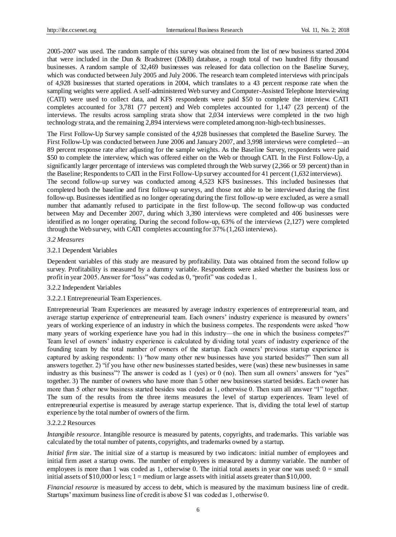2005-2007 was used. The random sample of this survey was obtained from the list of new business started 2004 that were included in the Dun & Bradstreet (D&B) database, a rough total of two hundred fifty thousand businesses. A random sample of 32,469 businesses was released for data collection on the Baseline Survey, which was conducted between July 2005 and July 2006. The research team completed interviews with principals of 4,928 businesses that started operations in 2004, which translates to a 43 percent response rate when the sampling weights were applied. A self-administered Web survey and Computer-Assisted Telephone Interviewing (CATI) were used to collect data, and KFS respondents were paid \$50 to complete the interview. CATI completes accounted for 3,781 (77 percent) and Web completes accounted for 1,147 (23 percent) of the interviews. The results across sampling strata show that 2,034 interviews were completed in the two high technology strata, and the remaining 2,894 interviews were completed among non-high-tech businesses.

The First Follow-Up Survey sample consisted of the 4,928 businesses that completed the Baseline Survey. The First Follow-Up was conducted between June 2006 and January 2007, and 3,998 interviews were completed—an 89 percent response rate after adjusting for the sample weights. As the Baseline Survey, respondents were paid \$50 to complete the interview, which was offered either on the Web or through CATI. In the First Follow-Up, a significantly larger percentage of interviews was completed through the Web survey (2,366 or 59 percent) than in the Baseline; Respondents to CATI in the First Follow-Up survey accounted for 41 percent (1,632 interviews).

The second follow-up survey was conducted among 4,523 KFS businesses. This included businesses that completed both the baseline and first follow-up surveys, and those not able to be interviewed during the first follow-up. Businesses identified as no longer operating during the first follow-up were excluded, as were a small number that adamantly refused to participate in the first follow-up. The second follow-up was conducted between May and December 2007, during which 3,390 interviews were completed and 406 businesses were identified as no longer operating. During the second follow-up, 63% of the interviews (2,127) were completed through the Web survey, with CATI completes accounting for 37% (1,263 interviews).

## *3.2 Measures*

## 3.2.1 Dependent Variables

Dependent variables of this study are measured by profitability. Data was obtained from the second follow up survey. Profitability is measured by a dummy variable. Respondents were asked whether the business loss or profit in year 2005. Answer for "loss" was coded as 0, "profit" was coded as 1.

## 3.2.2 Independent Variables

## 3.2.2.1 Entrepreneurial Team Experiences.

Entrepreneurial Team Experiences are measured by average industry experiences of entrepreneurial team, and average startup experience of entrepreneurial team. Each owners' industry experience is measured by owners' years of working experience of an industry in which the business competes. The respondents were asked "how many years of working experience have you had in this industry—the one in which the business competes?" Team level of owners' industry experience is calculated by dividing total years of industry experience of the founding team by the total number of owners of the startup. Each owners' previous startup experience is captured by asking respondents: 1) "how many other new businesses have you started besides?" Then sum all answers together. 2) "if you have other new businesses started besides, were (was) these new businesses in same industry as this business"? The answer is coded as 1 (yes) or 0 (no). Then sum all owners' answers for "yes" together. 3) The number of owners who have more than 5 other new businesses started besides. Each owner has more than 5 other new business started besides was coded as 1, otherwise 0. Then sum all answer "1" together. The sum of the results from the three items measures the level of startup experiences. Team level of entrepreneurial expertise is measured by average startup experience. That is, dividing the total level of startup experience by the total number of owners of the firm.

## 3.2.2.2 Resources

*Intangible resource*. Intangible resource is measured by patents, copyrights, and trademarks. This variable was calculated by the total number of patents, copyrights, and trademarks owned by a startup.

*Initial firm size*. The initial size of a startup is measured by two indicators: initial number of employees and initial firm asset a startup owns. The number of employees is measured by a dummy variable. The number of employees is more than 1 was coded as 1, otherwise 0. The initial total assets in year one was used:  $0 = \text{small}$ initial assets of  $$10,000$  or less; 1 = medium or large assets with initial assets greater than \$10,000.

*Financial resource* is measured by access to debt, which is measured by the maximum business line of credit. Startups' maximum business line of credit is above \$1 was coded as 1, otherwise 0.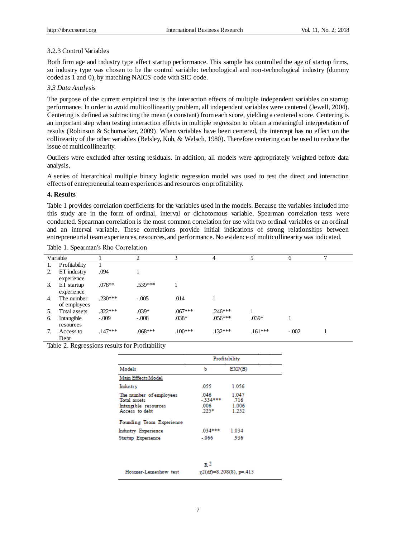## 3.2.3 Control Variables

Both firm age and industry type affect startup performance. This sample has controlled the age of startup firms, so industry type was chosen to be the control variable: technological and non-technological industry (dummy coded as 1 and 0), by matching NAICS code with SIC code.

## *3.3 Data Analysis*

The purpose of the current empirical test is the interaction effects of multiple independent variables on startup performance. In order to avoid multicollinearity problem, all independent variables were centered (Jewell, 2004). Centering is defined as subtracting the mean (a constant) from each score, yielding a centered score. Centering is an important step when testing interaction effects in multiple regression to obtain a meaningful interpretation of results (Robinson & Schumacker, 2009). When variables have been centered, the intercept has no effect on the collinearity of the other variables (Belsley, Kuh, & Welsch, 1980). Therefore centering can be used to reduce the issue of multicollinearity.

Outliers were excluded after testing residuals. In addition, all models were appropriately weighted before data analysis.

A series of hierarchical multiple binary logistic regression model was used to test the direct and interaction effects of entrepreneurial team experiences and resources on profitability.

#### **4. Results**

Table 1 provides correlation coefficients for the variables used in the models. Because the variables included into this study are in the form of ordinal, interval or dichotomous variable. Spearman correlation tests were conducted. Spearman correlation is the most common correlation for use with two ordinal variables or an ordinal and an interval variable. These correlations provide initial indications of strong relationships between entrepreneurial team experiences, resources, and performance. No evidence of multicollinearity was indicated.

Table 1. Spearman's Rho Correlation

|    | Variable                   |           | ◠         | 3         | 4         |           | 6       | − |
|----|----------------------------|-----------|-----------|-----------|-----------|-----------|---------|---|
| 1. | Profitability              |           |           |           |           |           |         |   |
| 2. | ET industry<br>experience  | .094      |           |           |           |           |         |   |
| 3. | ET startup<br>experience   | .078**    | $.539***$ |           |           |           |         |   |
| 4. | The number<br>of employees | $.230***$ | $-.005$   | .014      |           |           |         |   |
| 5. | Total assets               | $.322***$ | $.039*$   | $.067***$ | $.246***$ |           |         |   |
| 6. | Intangible<br>resources    | $-.009$   | $-.008$   | $.038*$   | $.056***$ | $.039*$   |         |   |
| 7. | Access to<br>Debt          | $.147***$ | .068***   | $.100***$ | $.132***$ | $.161***$ | $-.002$ |   |

Table 2. Regressions results for Profitability

|                                                                                   |                                    | Profitability                   |  |
|-----------------------------------------------------------------------------------|------------------------------------|---------------------------------|--|
| Models                                                                            | Ъ                                  | EXP(B)                          |  |
| Main Effects Model                                                                |                                    |                                 |  |
| Industry                                                                          | .055                               | 1.056                           |  |
| The number of employees<br>Total assets<br>Intangible resources<br>Access to debt | 046<br>$-334***$<br>.006<br>$225*$ | 1.047<br>.716<br>1.006<br>1.252 |  |
| Founding Team Experience                                                          |                                    |                                 |  |
| <b>Industry Experience</b>                                                        | 034***                             | 1.034                           |  |
| Startup Experience                                                                | $-066$                             | 936                             |  |
| Hosmer-Lemeshow test                                                              | R <sup>2</sup>                     | $\gamma$ 2(df)=8.208(8), p=.413 |  |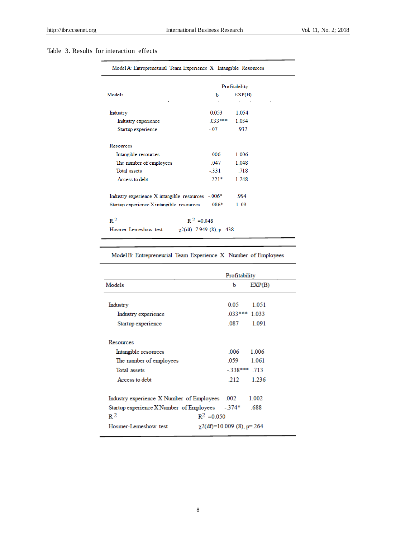## Table 3. Results for interaction effects

|                                                        |          | Profitability |  |
|--------------------------------------------------------|----------|---------------|--|
| Models                                                 | ь        | EXP(B)        |  |
| Industry                                               | 0.053    | 1.054         |  |
| Industry experience                                    | $033***$ | 1 0 3 4       |  |
| Startup experience                                     | $-.07$   | 932           |  |
| Resources                                              |          |               |  |
| Intangible resources                                   | .006     | 1.006         |  |
| The number of employees                                | 047      | 1.048         |  |
| <b>Total</b> assets                                    | $-331$   | .718          |  |
| Access to debt                                         | $221*$   | 1.248         |  |
| Industry experience X intangible resources -.006*      |          | .994          |  |
| Startup experience X intangible resources              | $086*$   | 1.09          |  |
| R <sup>2</sup><br>$R^2 = 0.048$                        |          |               |  |
| Hosmer-Lemeshow test<br>$\chi$ 2(df)=7.949 (8), p=.438 |          |               |  |

|                                                  | Profitability |              |
|--------------------------------------------------|---------------|--------------|
| Models                                           | ь             | EXP(B)       |
| Industry                                         | 0.05          | 1051         |
| Industry experience                              |               | $033***1033$ |
| Startup experience                               | 087           | 1091         |
| Resources                                        |               |              |
| Intangible resources                             | .006          | 1.006        |
| The number of employees                          | 059           | 1.061        |
| <b>Total</b> assets                              | $-338***$ 713 |              |
| Access to debt                                   | 212           | 1 236        |
| 1002. Industry experience X Number of Employees  |               | 1.002        |
| Startup experience X Number of Employees - .374* |               | .688         |
| R <sup>2</sup><br>$R^2 = 0.050$                  |               |              |

 $\chi$ 2(df)=10.009 (8), p=.264

Model B: Entrepreneurial Team Experience X Number of Employees

Hosmer-Lemeshow test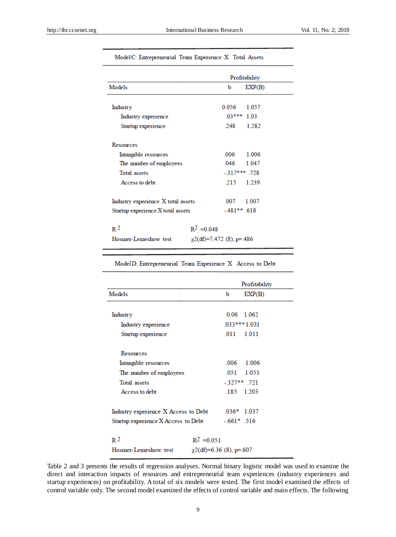|                                    |                                |               | Profitability |
|------------------------------------|--------------------------------|---------------|---------------|
| Models                             |                                | b             | EXP(B)        |
|                                    |                                |               |               |
| Industry                           |                                | 0.056         | 1057          |
| Industry experience                |                                | $03***$       | 1.03          |
| Startup experience                 |                                | 248           | 1 282         |
| Resources                          |                                |               |               |
| Intangible resources               |                                | 006           | 1 006         |
| The number of employees            |                                | 046           | 1.047         |
| <b>Total</b> assets                |                                | $-317***$ 728 |               |
| Access to debt                     |                                | 215           | 1.239         |
| Industry experience X total assets |                                | 007           | 1 0 0 7       |
| Startup experience X total assets  |                                | $-481**618$   |               |
| R <sup>2</sup>                     | $R^2 = 0.048$                  |               |               |
| Hosmer-Lemeshow test               | $\chi$ 2(df)=7.472 (8), p=.486 |               |               |

## Model C: Entrepreneurial Team Experience X Total Assets

Model D: Entrepreneurial Team Experience X Access to Debt

|                                                         |               |              | Profitability |
|---------------------------------------------------------|---------------|--------------|---------------|
| Models                                                  |               | ь            | EXP(B)        |
| Industry                                                |               |              | 0.06 1.062    |
| Industry experience                                     |               |              | $033***1031$  |
| Startup experience                                      |               | 011          | 1011          |
| Resources                                               |               |              |               |
| Intangible resources                                    |               | 006          | 1.006         |
| The number of employees                                 |               | 051          | 1.053         |
| <b>Total</b> assets                                     |               | $-327**$ 721 |               |
| Access to debt                                          |               | 185          | 1 203         |
| Industry experience X Access to Debt                    |               | $036*$ 1037  |               |
| Startup experience X Access to Debt                     |               | $-661*$ 516  |               |
| R <sup>2</sup>                                          | $R^2 = 0.051$ |              |               |
| Hosmer-Lemeshow test<br>$\gamma$ 2(df)=6.36 (8), p=.607 |               |              |               |

Table 2 and 3 presents the results of regression analyses. Normal binary logistic model was used to examine the direct and interaction impacts of resources and entrepreneurial team experiences (industry experiences and startup experiences) on profitability. A total of six models were tested. The first model examined the effects of control variable only. The second model examined the effects of control variable and main effects. The following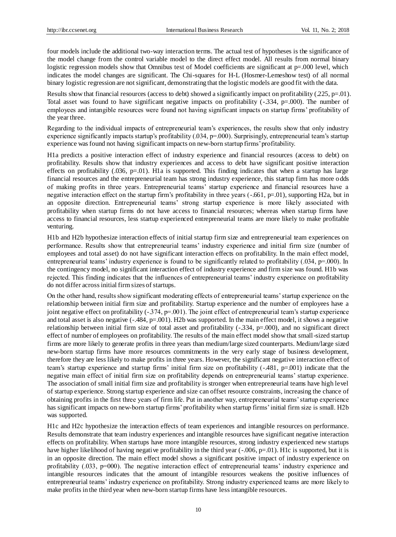four models include the additional two-way interaction terms. The actual test of hypotheses is the significance of the model change from the control variable model to the direct effect model. All results from normal binary logistic regression models show that Omnibus test of Model coefficients are significant at p=.000 level, which indicates the model changes are significant. The Chi-squares for H-L (Hosmer-Lemeshow test) of all normal binary logistic regression are not significant, demonstrating that the logistic models are good fit with the data.

Results show that financial resources (access to debt) showed a significantly impact on profitability (.225, p=.01). Total asset was found to have significant negative impacts on profitability  $(-334, p=.000)$ . The number of employees and intangible resources were found not having significant impacts on startup firms' profitability of the year three.

Regarding to the individual impacts of entrepreneurial team's experiences, the results show that only industry experience significantly impacts startup's profitability  $(0.034, p=0.00)$ . Surprisingly, entrepreneurial team's startup experience was found not having significant impacts on new-born startup firms' profitability.

H1a predicts a positive interaction effect of industry experience and financial resources (access to debt) on profitability. Results show that industry experiences and access to debt have significant positive interaction effects on profitability  $(.036, p=.01)$ . H1a is supported. This finding indicates that when a startup has large financial resources and the entrepreneurial team has strong industry experience, this startup firm has more odds of making profits in three years. Entrepreneurial teams' startup experience and financial resources have a negative interaction effect on the startup firm's profitability in three years  $(-.661, p=.01)$ , supporting H2a, but in an opposite direction. Entrepreneurial teams' strong startup experience is more likely associated with profitability when startup firms do not have access to financial resources; whereas when startup firms have access to financial resources, less startup experienced entrepreneurial teams are more likely to make profitable venturing.

H1b and H2b hypothesize interaction effects of initial startup firm size and entrepreneurial team experiences on performance. Results show that entrepreneurial teams' industry experience and initial firm size (number of employees and total asset) do not have significant interaction effects on profitability. In the main effect model, entrepreneurial teams' industry experience is found to be significantly related to profitability (.034, p=.000). In the contingency model, no significant interaction effect of industry experience and firm size was found. H1b was rejected. This finding indicates that the influences of entrepreneurial teams' industry experience on profitability do not differ across initial firm sizes of startups.

On the other hand, results show significant moderating effects of entrepreneurial teams' startup experience on the relationship between initial firm size and profitability. Startup experience and the number of employees have a joint negative effect on profitability  $(-374, p=001)$ . The joint effect of entrepreneurial team's startup experience and total asset is also negative  $(-.484, p=.001)$ . H2b was supported. In the main effect model, it shows a negative relationship between initial firm size of total asset and profitability (-.334, p=.000), and no significant direct effect of number of employees on profitability. The results of the main effect model show that small-sized startup firms are more likely to generate profits in three years than medium/large sized counterparts. Medium/large sized new-born startup firms have more resources commitments in the very early stage of business development, therefore they are less likely to make profits in three years. However, the significant negative interaction effect of team's startup experience and startup firms' initial firm size on profitability  $(-481, p=001)$  indicate that the negative main effect of initial firm size on profitability depends on entrepreneurial teams' startup experience. The association of small initial firm size and profitability is stronger when entrepreneurial teams have high level of startup experience. Strong startup experience and size can offset resource constraints, increasing the chance of obtaining profits in the first three years of firm life. Put in another way, entrepreneurial teams' startup experience has significant impacts on new-born startup firms' profitability when startup firms' initial firm size is small. H2b was supported.

H1c and H2c hypothesize the interaction effects of team experiences and intangible resources on performance. Results demonstrate that team industry experiences and intangible resources have significant negative interaction effects on profitability. When startups have more intangible resources, strong industry experienced new startups have higher likelihood of having negative profitability in the third year (-.006, p=.01). H1c is supported, but it is in an opposite direction. The main effect model shows a significant positive impact of industry experience on profitability (.033, p=000). The negative interaction effect of entrepreneurial teams' industry experience and intangible resources indicates that the amount of intangible resources weakens the positive influences of entrepreneurial teams' industry experience on profitability. Strong industry experienced teams are more likely to make profits in the third year when new-born startup firms have less intangible resources.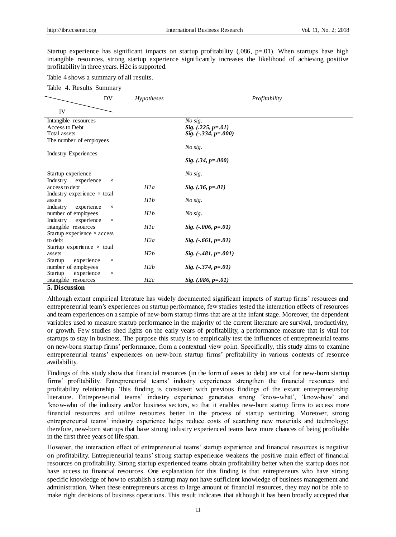Startup experience has significant impacts on startup profitability  $(.086, p=.01)$ . When startups have high intangible resources, strong startup experience significantly increases the likelihood of achieving positive profitability in three years. H2c is supported.

Table 4 shows a summary of all results.

Table 4. Results Summary

|                                    | DV       | Hypotheses       | Profitability          |
|------------------------------------|----------|------------------|------------------------|
| IV                                 |          |                  |                        |
| Intangible resources               |          |                  | No sig.                |
| Access to Debt                     |          |                  | Sig. $(.225, p=.01)$   |
| Total assets                       |          |                  | Sig. $(-.334, p=.000)$ |
| The number of employees            |          |                  |                        |
|                                    |          |                  | No sig.                |
| <b>Industry Experiences</b>        |          |                  |                        |
|                                    |          |                  | Sig. $(.34, p=.000)$   |
|                                    |          |                  |                        |
| Startup experience                 |          |                  | No sig.                |
| Industry<br>experience             | $\times$ |                  |                        |
| access to debt                     |          | H1a              | Sig. $(.36, p=.01)$    |
| Industry experience $\times$ total |          |                  |                        |
| assets                             |          | H <sub>1</sub> b | No sig.                |
| Industry<br>experience             | $\times$ |                  |                        |
| number of employees                |          | H1b              | No sig.                |
| experience<br>Industry             | $\times$ |                  |                        |
| intangible resources               |          | Hlc              | Sig. $(-.006, p=.01)$  |
| Startup experience $\times$ access |          |                  |                        |
| to debt                            |          | H2a              | Sig. $(-.661, p=.01)$  |
| Startup experience $\times$ total  |          |                  |                        |
| assets                             |          | H2b              | Sig. $(-.481, p=.001)$ |
| Startup<br>experience              | $\times$ |                  |                        |
| number of employees                |          | H2b              | Sig. $(-374, p=.01)$   |
| Startup<br>experience              | $\times$ |                  |                        |
| intangible resources               |          | H2c              | Sig. $(.086, p=.01)$   |
| <b>. .</b>                         |          |                  |                        |

## **5. Discussion**

Although extant empirical literature has widely documented significant impacts of startup firms' resources and entrepreneurial team's experiences on startup performance, few studies tested the interaction effects of resources and team experiences on a sample of new-born startup firms that are at the infant stage. Moreover, the dependent variables used to measure startup performance in the majority of the current literature are survival, productivity, or growth. Few studies shed lights on the early years of profitability, a performance measure that is vital for startups to stay in business. The purpose this study is to empirically test the influences of entrepreneurial teams on new-born startup firms' performance, from a contextual view point. Specifically, this study aims to examine entrepreneurial teams' experiences on new-born startup firms' profitability in various contexts of resource availability.

Findings of this study show that financial resources (in the form of asses to debt) are vital for new-born startup firms' profitability. Entrepreneurial teams' industry experiences strengthen the financial resources and profitability relationship. This finding is consistent with previous findings of the extant entrepreneurship literature. Entrepreneurial teams' industry experience generates strong 'know-what', 'know-how' and 'know-who of the industry and/or business sectors, so that it enables new-born startup firms to access more financial resources and utilize resources better in the process of startup venturing. Moreover, strong entrepreneurial teams' industry experience helps reduce costs of searching new materials and technology; therefore, new-born startups that have strong industry experienced teams have more chances of being profitable in the first three years of life span.

However, the interaction effect of entrepreneurial teams' startup experience and financial resources is negative on profitability. Entrepreneurial teams' strong startup experience weakens the positive main effect of financial resources on profitability. Strong startup experienced teams obtain profitability better when the startup does not have access to financial resources. One explanation for this finding is that entrepreneurs who have strong specific knowledge of how to establish a startup may not have sufficient knowledge of business management and administration. When these entrepreneurs access to large amount of financial resources, they may not be able to make right decisions of business operations. This result indicates that although it has been broadly accepted that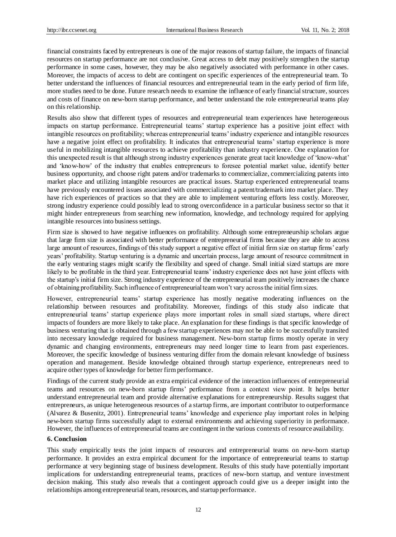financial constraints faced by entrepreneurs is one of the major reasons of startup failure, the impacts of financial resources on startup performance are not conclusive. Great access to debt may positively strengthen the startup performance in some cases, however, they may be also negatively associated with performance in other cases. Moreover, the impacts of access to debt are contingent on specific experiences of the entrepreneurial team. To better understand the influences of financial resources and entrepreneurial team in the early period of firm life, more studies need to be done. Future research needs to examine the influence of early financial structure, sources and costs of finance on new-born startup performance, and better understand the role entrepreneurial teams play on this relationship.

Results also show that different types of resources and entrepreneurial team experiences have heterogeneous impacts on startup performance. Entrepreneurial teams' startup experience has a positive joint effect with intangible resources on profitability; whereas entrepreneurial teams' industry experience and intangible resources have a negative joint effect on profitability. It indicates that entrepreneurial teams' startup experience is more useful in mobilizing intangible resources to achieve profitability than industry experience. One explanation for this unexpected result is that although strong industry experiences generate great tacit knowledge of 'know-what' and 'know-how' of the industry that enables entrepreneurs to foresee potential market value, identify better business opportunity, and choose right patens and/or trademarks to commercialize, commercializing patents into market place and utilizing intangible resources are practical issues. Startup experienced entrepreneurial teams have previously encountered issues associated with commercializing a patent/trademark into market place. They have rich experiences of practices so that they are able to implement venturing efforts less costly. Moreover, strong industry experience could possibly lead to strong overconfidence in a particular business sector so that it might hinder entrepreneurs from searching new information, knowledge, and technology required for applying intangible resources into business settings.

Firm size is showed to have negative influences on profitability. Although some entrepreneurship scholars argue that large firm size is associated with better performance of entrepreneurial firms because they are able to access large amount of resources, findings of this study support a negative effect of initial firm size on startup firms' early years' profitability. Startup venturing is a dynamic and uncertain process, large amount of resource commitment in the early venturing stages might scarify the flexibility and speed of change. Small initial sized startups are more likely to be profitable in the third year. Entrepreneurial teams' industry experience does not have joint effects with the startup's initial firm size. Strong industry experience of the entrepreneurial team positively increases the chance of obtaining profitability. Such influence of entrepreneurial team won't vary across the initial firm sizes.

However, entrepreneurial teams' startup experience has mostly negative moderating influences on the relationship between resources and profitability. Moreover, findings of this study also indicate that entrepreneurial teams' startup experience plays more important roles in small sized startups, where direct impacts of founders are more likely to take place. An explanation for these findings is that specific knowledge of business venturing that is obtained through a few startup experiences may not be able to be successfully transited into necessary knowledge required for business management. New-born startup firms mostly operate in very dynamic and changing environments, entrepreneurs may need longer time to learn from past experiences. Moreover, the specific knowledge of business venturing differ from the domain relevant knowledge of business operation and management. Beside knowledge obtained through startup experience, entrepreneurs need to acquire other types of knowledge for better firm performance.

Findings of the current study provide an extra empirical evidence of the interaction influences of entrepreneurial teams and resources on new-born startup firms' performance from a context view point. It helps better understand entrepreneurial team and provide alternative explanations for entrepreneurship. Results suggest that entrepreneurs, as unique heterogeneous resources of a startup firms, are important contributor to outperformance (Alvarez & Busenitz, 2001). Entrepreneurial teams' knowledge and experience play important roles in helping new-born startup firms successfully adapt to external environments and achieving superiority in performance. However, the influences of entrepreneurial teams are contingent in the various contexts of resource availability.

#### **6. Conclusion**

This study empirically tests the joint impacts of resources and entrepreneurial teams on new-born startup performance. It provides an extra empirical document for the importance of entrepreneurial teams to startup performance at very beginning stage of business development. Results of this study have potentially important implications for understanding entrepreneurial teams, practices of new-born startup, and venture investment decision making. This study also reveals that a contingent approach could give us a deeper insight into the relationships among entrepreneurial team, resources, and startup performance.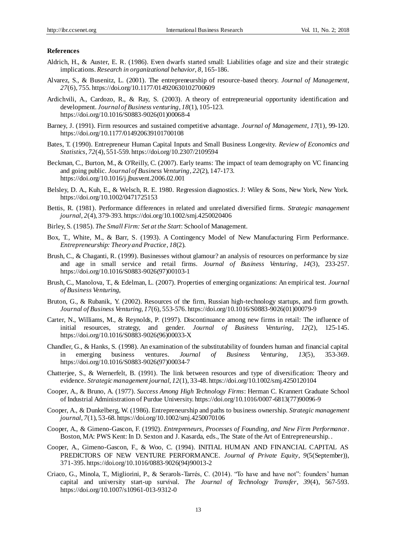#### **References**

- Aldrich, H., & Auster, E. R. (1986). Even dwarfs started small: Liabilities ofage and size and their strategic implications. *Research in organizational behavior*, *8,* 165-186.
- Alvarez, S., & Busenitz, L. (2001). The entrepreneurship of resource-based theory. *Journal of Management*, *27*(6), 755. https://doi.org/10.1177/014920630102700609
- Ardichvili, A., Cardozo, R., & Ray, S. (2003). A theory of entrepreneurial opportunity identification and development. *Journal of Business venturing*, *18*(1), 105-123. https://doi.org/10.1016/S0883-9026(01)00068-4
- Barney, J. (1991). Firm resources and sustained competitive advantage. *Journal of Management*, *17*(1), 99-120. https://doi.org/10.1177/014920639101700108
- Bates, T. (1990). Entrepreneur Human Capital Inputs and Small Business Longevity. *Review of Economics and Statistics*, *72*(4), 551-559. https://doi.org/10.2307/2109594
- Beckman, C., Burton, M., & O'Reilly, C. (2007). Early teams: The impact of team demography on VC financing and going public. *Journal of Business Venturing*, *22*(2), 147-173. https://doi.org/10.1016/j.jbusvent.2006.02.001
- Belsley, D. A., Kuh, E., & Welsch, R. E. 1980. Regression diagnostics. J: Wiley & Sons, New York, New York. https://doi.org/10.1002/0471725153
- Bettis, R. (1981). Performance differences in related and unrelated diversified firms. *Strategic management journal*, *2*(4), 379-393. https://doi.org/10.1002/smj.4250020406
- Birley, S. (1985). *The Small Firm: Set at the Start*: School of Management.
- Box, T., White, M., & Barr, S. (1993). A Contingency Model of New Manufacturing Firm Performance. *Entrepreneurship: Theory and Practice*, *18*(2).
- Brush, C., & Chaganti, R. (1999). Businesses without glamour? an analysis of resources on performance by size and age in small service and retail firms. *Journal of Business Venturing*, *14*(3), 233-257. https://doi.org/10.1016/S0883-9026(97)00103-1
- Brush, C., Manolova, T., & Edelman, L. (2007). Properties of emerging organizations: An empirical test. *Journal of Business Venturing*,
- Bruton, G., & Rubanik, Y. (2002). Resources of the firm, Russian high-technology startups, and firm growth. *Journal of Business Venturing*, *17*(6), 553-576. https://doi.org/10.1016/S0883-9026(01)00079-9
- Carter, N., Williams, M., & Reynolds, P. (1997). Discontinuance among new firms in retail: The influence of initial resources, strategy, and gender. *Journal of Business Venturing*, *12*(2), 125-145. https://doi.org/10.1016/S0883-9026(96)00033-X
- Chandler, G., & Hanks, S. (1998). An examination of the substitutability of founders human and financial capital in emerging business ventures. *Journal of Business Venturing*, *13*(5), 353-369. https://doi.org/10.1016/S0883-9026(97)00034-7
- Chatterjee, S., & Wernerfelt, B. (1991). The link between resources and type of diversification: Theory and evidence. *Strategic management journal*, *12*(1), 33-48. https://doi.org/10.1002/smj.4250120104
- Cooper, A., & Bruno, A. (1977). *Success Among High Technology Firms*: Herman C. Krannert Graduate School of Industrial Administration of Purdue University. https://doi.org/10.1016/0007-6813(77)90096-9
- Cooper, A., & Dunkelberg, W. (1986). Entrepreneurship and paths to business ownership. *Strategic management journal*, *7*(1), 53-68. https://doi.org/10.1002/smj.4250070106
- Cooper, A., & Gimeno-Gascon, F. (1992). *Entrepreneurs, Processes of Founding, and New Firm Performance*. Boston, MA: PWS Kent: In D. Sexton and J. Kasarda, eds., The State of the Art of Entrepreneurship. .
- Cooper, A., Gimeno-Gascon, F., & Woo, C. (1994). INITIAL HUMAN AND FINANCIAL CAPITAL AS PREDICTORS OF NEW VENTURE PERFORMANCE. *Journal of Private Equity*, *9*(5(September)), 371-395. https://doi.org/10.1016/0883-9026(94)90013-2
- Criaco, G., Minola, T., Migliorini, P., & Serarols-Tarrés, C. (2014). "To have and have not": founders' human capital and university start-up survival. *The Journal of Technology Transfer*, *39*(4), 567-593. https://doi.org/10.1007/s10961-013-9312-0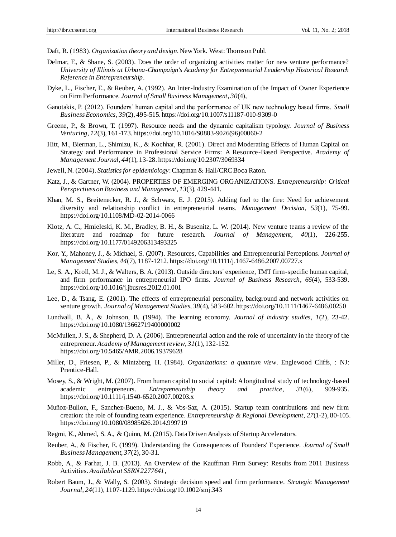Daft, R. (1983). *Organization theory and design*. New York. West: Thomson Publ.

- Delmar, F., & Shane, S. (2003). Does the order of organizing activities matter for new venture performance? *University of Illinois at Urbana-Champaign's Academy for Entrepreneurial Leadership Historical Research Reference in Entrepreneurship*.
- Dyke, L., Fischer, E., & Reuber, A. (1992). An Inter-Industry Examination of the Impact of Owner Experience on Firm Performance. *Journal of Small Business Management*, *30*(4),
- Ganotakis, P. (2012). Founders' human capital and the performance of UK new technology based firms. *Small Business Economics*, *39*(2), 495-515. https://doi.org/10.1007/s11187-010-9309-0
- Greene, P., & Brown, T. (1997). Resource needs and the dynamic capitalism typology. *Journal of Business Venturing*, *12*(3), 161-173. https://doi.org/10.1016/S0883-9026(96)00060-2
- Hitt, M., Bierman, L., Shimizu, K., & Kochhar, R. (2001). Direct and Moderating Effects of Human Capital on Strategy and Performance in Professional Service Firms: A Resource-Based Perspective. *Academy of Management Journal, 44*(1), 13-28. https://doi.org/10.2307/3069334
- Jewell, N. (2004). *Statistics for epidemiology*: Chapman & Hall/CRC Boca Raton.
- Katz, J., & Gartner, W. (2004). PROPERTIES OF EMERGING ORGANIZATIONS. *Entrepreneurship: Critical Perspectives on Business and Management*, *13*(3), 429-441.
- Khan, M. S., Breitenecker, R. J., & Schwarz, E. J. (2015). Adding fuel to the fire: Need for achievement diversity and relationship conflict in entrepreneurial teams. *Management Decision*, *53*(1), 75-99. https://doi.org/10.1108/MD-02-2014-0066
- Klotz, A. C., Hmieleski, K. M., Bradley, B. H., & Busenitz, L. W. (2014). New venture teams a review of the literature and roadmap for future research. *Journal of Management*, *40*(1), 226-255. https://doi.org/10.1177/0149206313493325
- Kor, Y., Mahoney, J., & Michael, S. (2007). Resources, Capabilities and Entrepreneurial Perceptions. *Journal of Management Studies*, *44*(7), 1187-1212. https://doi.org/10.1111/j.1467-6486.2007.00727.x
- Le, S. A., Kroll, M. J., & Walters, B. A. (2013). Outside directors' experience, TMT firm-specific human capital, and firm performance in entrepreneurial IPO firms. *Journal of Business Research*, *66*(4), 533-539. https://doi.org/10.1016/j.jbusres.2012.01.001
- Lee, D., & Tsang, E. (2001). The effects of entrepreneurial personality, background and network activities on venture growth. *Journal of Management Studies*, *38*(4), 583-602. https://doi.org/10.1111/1467-6486.00250
- Lundvall, B. Ä., & Johnson, B. (1994). The learning economy. *Journal of industry studies*, *1*(2), 23-42. https://doi.org/10.1080/13662719400000002
- McMullen, J. S., & Shepherd, D. A. (2006). Entrepreneurial action and the role of uncertainty in the theory of the entrepreneur. *Academy of Management review*, *31*(1), 132-152. https://doi.org/10.5465/AMR.2006.19379628
- Miller, D., Friesen, P., & Mintzberg, H. (1984). *Organizations: a quantum view*. Englewood Cliffs, : NJ: Prentice-Hall.
- Mosey, S., & Wright, M. (2007). From human capital to social capital: A longitudinal study of technology-based academic entrepreneurs. *Entrepreneurship theory and practice*, *31*(6), 909-935. https://doi.org/10.1111/j.1540-6520.2007.00203.x
- Muñoz-Bullon, F., Sanchez-Bueno, M. J., & Vos-Saz, A. (2015). Startup team contributions and new firm creation: the role of founding team experience. *Entrepreneurship & Regional Development*, *27*(1-2), 80-105. https://doi.org/10.1080/08985626.2014.999719
- Regmi, K., Ahmed, S. A., & Quinn, M. (2015). Data Driven Analysis of Startup Accelerators.
- Reuber, A., & Fischer, E. (1999). Understanding the Consequences of Founders' Experience. *Journal of Small Business Management*, *37*(2), 30-31.
- Robb, A., & Farhat, J. B. (2013). An Overview of the Kauffman Firm Survey: Results from 2011 Business Activities. *Available at SSRN 2277641*,
- Robert Baum, J., & Wally, S. (2003). Strategic decision speed and firm performance. *Strategic Management Journal*, *24*(11), 1107-1129. https://doi.org/10.1002/smj.343